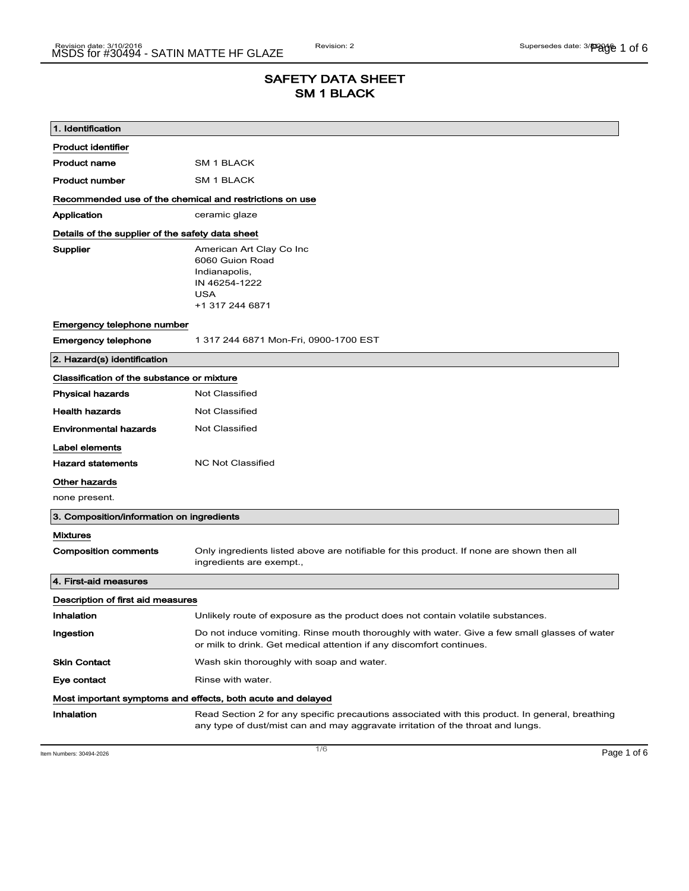## SAFETY DATA SHEET SM 1 BLACK

| 1. Identification                                           |                                                                                                                                                                                    |  |
|-------------------------------------------------------------|------------------------------------------------------------------------------------------------------------------------------------------------------------------------------------|--|
| <b>Product identifier</b>                                   |                                                                                                                                                                                    |  |
| <b>Product name</b>                                         | SM 1 BLACK                                                                                                                                                                         |  |
| <b>Product number</b>                                       | SM 1 BLACK                                                                                                                                                                         |  |
| Recommended use of the chemical and restrictions on use     |                                                                                                                                                                                    |  |
| Application                                                 | ceramic glaze                                                                                                                                                                      |  |
| Details of the supplier of the safety data sheet            |                                                                                                                                                                                    |  |
| Supplier                                                    | American Art Clay Co Inc<br>6060 Guion Road<br>Indianapolis,<br>IN 46254-1222<br><b>USA</b><br>+1 317 244 6871                                                                     |  |
| Emergency telephone number                                  |                                                                                                                                                                                    |  |
| <b>Emergency telephone</b>                                  | 1 317 244 6871 Mon-Fri, 0900-1700 EST                                                                                                                                              |  |
| 2. Hazard(s) identification                                 |                                                                                                                                                                                    |  |
| Classification of the substance or mixture                  |                                                                                                                                                                                    |  |
| <b>Physical hazards</b>                                     | <b>Not Classified</b>                                                                                                                                                              |  |
| <b>Health hazards</b>                                       | <b>Not Classified</b>                                                                                                                                                              |  |
| <b>Environmental hazards</b>                                | <b>Not Classified</b>                                                                                                                                                              |  |
| Label elements                                              |                                                                                                                                                                                    |  |
| <b>Hazard statements</b>                                    | <b>NC Not Classified</b>                                                                                                                                                           |  |
| Other hazards                                               |                                                                                                                                                                                    |  |
| none present.                                               |                                                                                                                                                                                    |  |
| 3. Composition/information on ingredients                   |                                                                                                                                                                                    |  |
| <b>Mixtures</b>                                             |                                                                                                                                                                                    |  |
| <b>Composition comments</b>                                 | Only ingredients listed above are notifiable for this product. If none are shown then all<br>ingredients are exempt.,                                                              |  |
| 4. First-aid measures                                       |                                                                                                                                                                                    |  |
| Description of first aid measures                           |                                                                                                                                                                                    |  |
| Inhalation                                                  | Unlikely route of exposure as the product does not contain volatile substances.                                                                                                    |  |
| Ingestion                                                   | Do not induce vomiting. Rinse mouth thoroughly with water. Give a few small glasses of water<br>or milk to drink. Get medical attention if any discomfort continues.               |  |
| <b>Skin Contact</b>                                         | Wash skin thoroughly with soap and water.                                                                                                                                          |  |
| Eye contact                                                 | Rinse with water.                                                                                                                                                                  |  |
| Most important symptoms and effects, both acute and delayed |                                                                                                                                                                                    |  |
| Inhalation                                                  | Read Section 2 for any specific precautions associated with this product. In general, breathing<br>any type of dust/mist can and may aggravate irritation of the throat and lungs. |  |

Item Numbers: 30494-2026 **Page 1 of 6**  $\overline{1/6}$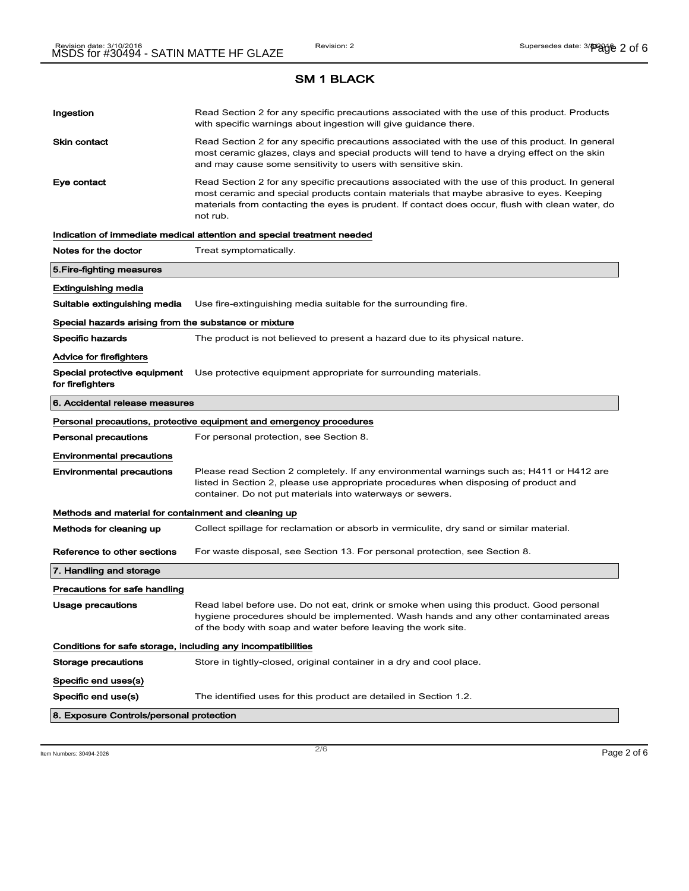# Ingestion **Read Section 2 for any specific precautions associated with the use of this product. Products** with specific warnings about ingestion will give guidance there. Skin contact **Read Section 2 for any specific precautions associated with the use of this product. In general** most ceramic glazes, clays and special products will tend to have a drying effect on the skin and may cause some sensitivity to users with sensitive skin. Eye contact **Read Section 2 for any specific precautions associated with the use of this product. In general** most ceramic and special products contain materials that maybe abrasive to eyes. Keeping materials from contacting the eyes is prudent. If contact does occur, flush with clean water, do not rub. Indication of immediate medical attention and special treatment needed Notes for the doctor Treat symptomatically. 5.Fire-fighting measures Extinguishing media Suitable extinguishing media Use fire-extinguishing media suitable for the surrounding fire. Special hazards arising from the substance or mixture Specific hazards The product is not believed to present a hazard due to its physical nature. Advice for firefighters Special protective equipment Use protective equipment appropriate for surrounding materials. for firefighters 6. Accidental release measures Personal precautions, protective equipment and emergency procedures Personal precautions For personal protection, see Section 8. Environmental precautions Environmental precautions Please read Section 2 completely. If any environmental warnings such as; H411 or H412 are listed in Section 2, please use appropriate procedures when disposing of product and container. Do not put materials into waterways or sewers. Methods and material for containment and cleaning up Methods for cleaning up Collect spillage for reclamation or absorb in vermiculite, dry sand or similar material. Reference to other sections For waste disposal, see Section 13. For personal protection, see Section 8. 7. Handling and storage Precautions for safe handling Usage precautions **Read label before use. Do not eat, drink or smoke when using this product. Good personal** hygiene procedures should be implemented. Wash hands and any other contaminated areas of the body with soap and water before leaving the work site. Conditions for safe storage, including any incompatibilities Storage precautions Store in tightly-closed, original container in a dry and cool place. Specific end uses(s) Specific end use(s) The identified uses for this product are detailed in Section 1.2. 8. Exposure Controls/personal protection

 $\overline{\phantom{a}}$ ltem Numbers: 30494-2026  $\overline{\phantom{a}}$   $\overline{\phantom{a}}$   $\overline{\phantom{a}}$   $\overline{\phantom{a}}$   $\overline{\phantom{a}}$   $\overline{\phantom{a}}$   $\overline{\phantom{a}}$   $\overline{\phantom{a}}$   $\overline{\phantom{a}}$   $\overline{\phantom{a}}$   $\overline{\phantom{a}}$   $\overline{\phantom{a}}$   $\overline{\phantom{a}}$   $\overline{\phantom{a}}$   $\overline{\phantom{a}}$   $\overline{\$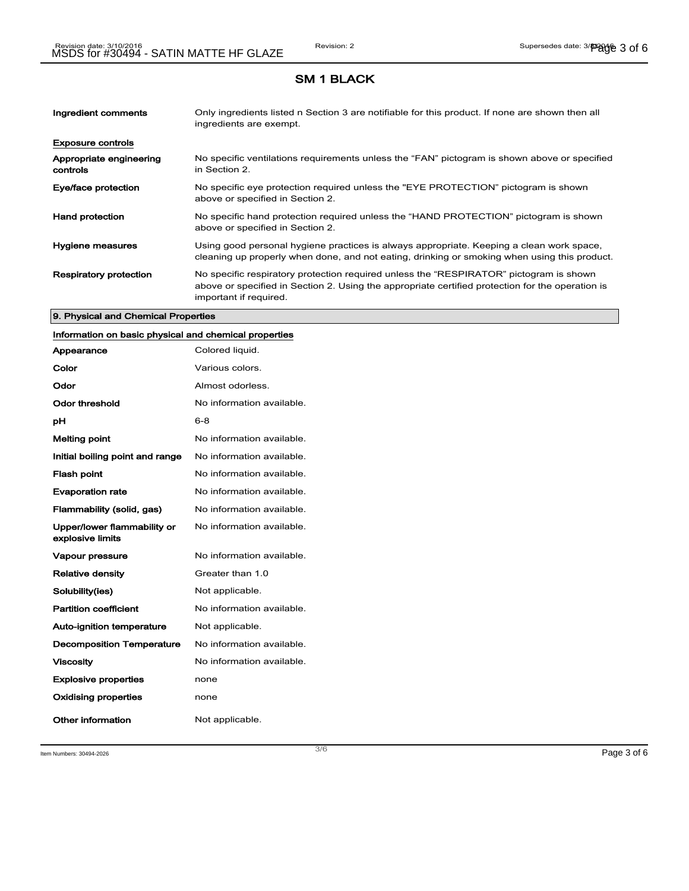| Ingredient comments                 | Only ingredients listed n Section 3 are notifiable for this product. If none are shown then all<br>ingredients are exempt.                                                                                           |
|-------------------------------------|----------------------------------------------------------------------------------------------------------------------------------------------------------------------------------------------------------------------|
| <b>Exposure controls</b>            |                                                                                                                                                                                                                      |
| Appropriate engineering<br>controls | No specific ventilations requirements unless the "FAN" pictogram is shown above or specified<br>in Section 2.                                                                                                        |
| Eye/face protection                 | No specific eye protection required unless the "EYE PROTECTION" pictogram is shown<br>above or specified in Section 2.                                                                                               |
| <b>Hand protection</b>              | No specific hand protection required unless the "HAND PROTECTION" pictogram is shown<br>above or specified in Section 2.                                                                                             |
| Hygiene measures                    | Using good personal hygiene practices is always appropriate. Keeping a clean work space,<br>cleaning up properly when done, and not eating, drinking or smoking when using this product.                             |
| <b>Respiratory protection</b>       | No specific respiratory protection required unless the "RESPIRATOR" pictogram is shown<br>above or specified in Section 2. Using the appropriate certified protection for the operation is<br>important if required. |

#### 9. Physical and Chemical Properties

## Information on basic physical and chemical properties

| Appearance                                      | Colored liquid.           |
|-------------------------------------------------|---------------------------|
| Color                                           | Various colors.           |
| Odor                                            | Almost odorless.          |
| Odor threshold                                  | No information available. |
| рH                                              | 6-8                       |
| <b>Melting point</b>                            | No information available. |
| Initial boiling point and range                 | No information available. |
| <b>Flash point</b>                              | No information available. |
| <b>Evaporation rate</b>                         | No information available. |
| Flammability (solid, gas)                       | No information available. |
| Upper/lower flammability or<br>explosive limits | No information available. |
| Vapour pressure                                 | No information available. |
| <b>Relative density</b>                         | Greater than 1.0          |
| Solubility(ies)                                 | Not applicable.           |
| <b>Partition coefficient</b>                    | No information available. |
| Auto-ignition temperature                       | Not applicable.           |
| <b>Decomposition Temperature</b>                | No information available. |
| <b>Viscosity</b>                                | No information available. |
| <b>Explosive properties</b>                     | none                      |
| <b>Oxidising properties</b>                     | none                      |
| Other information                               | Not applicable.           |

Item Numbers:  $30494-2026$   $Page 3 of 6$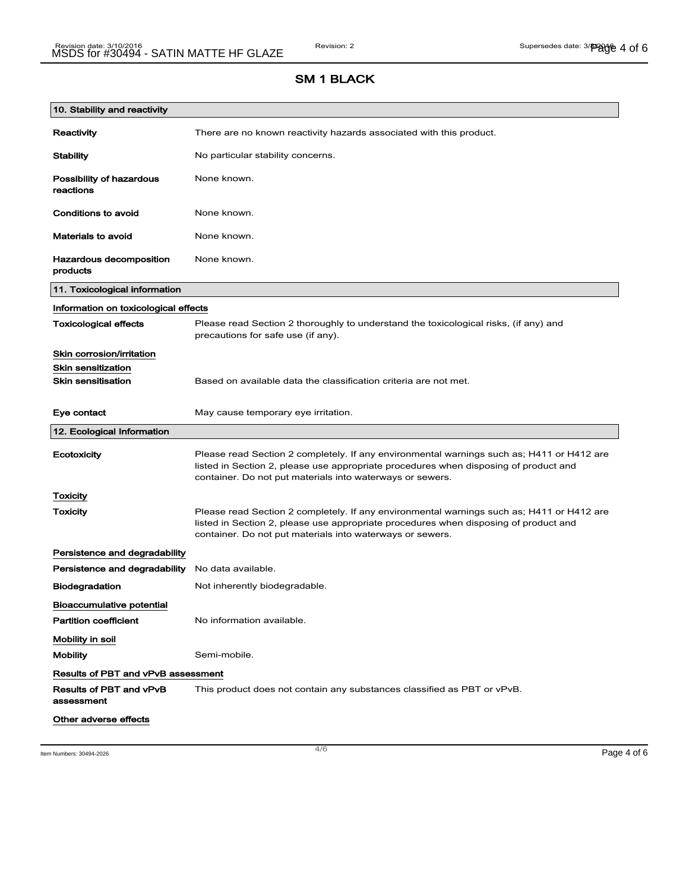| 10. Stability and reactivity              |                                                                                                                                                                                                                                                |
|-------------------------------------------|------------------------------------------------------------------------------------------------------------------------------------------------------------------------------------------------------------------------------------------------|
| <b>Reactivity</b>                         | There are no known reactivity hazards associated with this product.                                                                                                                                                                            |
| <b>Stability</b>                          | No particular stability concerns.                                                                                                                                                                                                              |
| Possibility of hazardous<br>reactions     | None known.                                                                                                                                                                                                                                    |
| <b>Conditions to avoid</b>                | None known.                                                                                                                                                                                                                                    |
| <b>Materials to avoid</b>                 | None known.                                                                                                                                                                                                                                    |
| Hazardous decomposition<br>products       | None known.                                                                                                                                                                                                                                    |
| 11. Toxicological information             |                                                                                                                                                                                                                                                |
| Information on toxicological effects      |                                                                                                                                                                                                                                                |
| <b>Toxicological effects</b>              | Please read Section 2 thoroughly to understand the toxicological risks, (if any) and<br>precautions for safe use (if any).                                                                                                                     |
| Skin corrosion/irritation                 |                                                                                                                                                                                                                                                |
| <b>Skin sensitization</b>                 |                                                                                                                                                                                                                                                |
| <b>Skin sensitisation</b>                 | Based on available data the classification criteria are not met.                                                                                                                                                                               |
| Eye contact                               | May cause temporary eye irritation.                                                                                                                                                                                                            |
| 12. Ecological Information                |                                                                                                                                                                                                                                                |
| Ecotoxicity                               | Please read Section 2 completely. If any environmental warnings such as; H411 or H412 are<br>listed in Section 2, please use appropriate procedures when disposing of product and<br>container. Do not put materials into waterways or sewers. |
| <b>Toxicity</b>                           |                                                                                                                                                                                                                                                |
| Toxicity                                  | Please read Section 2 completely. If any environmental warnings such as; H411 or H412 are<br>listed in Section 2, please use appropriate procedures when disposing of product and<br>container. Do not put materials into waterways or sewers. |
| Persistence and degradability             |                                                                                                                                                                                                                                                |
| Persistence and degradability             | No data available.                                                                                                                                                                                                                             |
| <b>Biodegradation</b>                     | Not inherently biodegradable.                                                                                                                                                                                                                  |
| <b>Bioaccumulative potential</b>          |                                                                                                                                                                                                                                                |
| <b>Partition coefficient</b>              | No information available.                                                                                                                                                                                                                      |
| Mobility in soil                          |                                                                                                                                                                                                                                                |
| <b>Mobility</b>                           | Semi-mobile.                                                                                                                                                                                                                                   |
| <b>Results of PBT and vPvB assessment</b> |                                                                                                                                                                                                                                                |
| Results of PBT and vPvB<br>assessment     | This product does not contain any substances classified as PBT or vPvB.                                                                                                                                                                        |
| Other adverse effects                     |                                                                                                                                                                                                                                                |

Item Numbers:  $30494-2026$   $Page 4 of 6$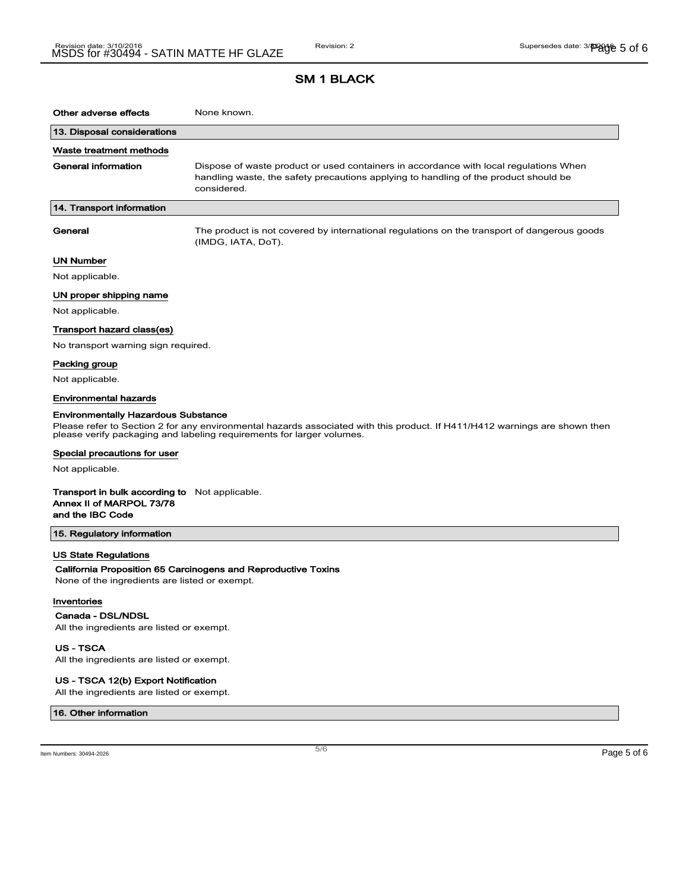| Other adverse effects                                                                                                                                                                               | None known.                                                                                                                                                                                  |  |
|-----------------------------------------------------------------------------------------------------------------------------------------------------------------------------------------------------|----------------------------------------------------------------------------------------------------------------------------------------------------------------------------------------------|--|
| 13. Disposal considerations                                                                                                                                                                         |                                                                                                                                                                                              |  |
| Waste treatment methods                                                                                                                                                                             |                                                                                                                                                                                              |  |
| General information                                                                                                                                                                                 | Dispose of waste product or used containers in accordance with local regulations When<br>handling waste, the safety precautions applying to handling of the product should be<br>considered. |  |
| 14. Transport information                                                                                                                                                                           |                                                                                                                                                                                              |  |
| General                                                                                                                                                                                             | The product is not covered by international regulations on the transport of dangerous goods<br>(IMDG, IATA, DoT).                                                                            |  |
| <b>UN Number</b>                                                                                                                                                                                    |                                                                                                                                                                                              |  |
| Not applicable.                                                                                                                                                                                     |                                                                                                                                                                                              |  |
| UN proper shipping name                                                                                                                                                                             |                                                                                                                                                                                              |  |
| Not applicable.                                                                                                                                                                                     |                                                                                                                                                                                              |  |
| Transport hazard class(es)                                                                                                                                                                          |                                                                                                                                                                                              |  |
| No transport warning sign required.                                                                                                                                                                 |                                                                                                                                                                                              |  |
| Packing group                                                                                                                                                                                       |                                                                                                                                                                                              |  |
| Not applicable.                                                                                                                                                                                     |                                                                                                                                                                                              |  |
| <b>Environmental hazards</b>                                                                                                                                                                        |                                                                                                                                                                                              |  |
| <b>Environmentally Hazardous Substance</b>                                                                                                                                                          |                                                                                                                                                                                              |  |
| Please refer to Section 2 for any environmental hazards associated with this product. If H411/H412 warnings are shown then<br>please verify packaging and labeling requirements for larger volumes. |                                                                                                                                                                                              |  |
| Special precautions for user                                                                                                                                                                        |                                                                                                                                                                                              |  |
| Not applicable.                                                                                                                                                                                     |                                                                                                                                                                                              |  |
| <b>Transport in bulk according to</b> Not applicable.<br>Annex II of MARPOL 73/78<br>and the IBC Code                                                                                               |                                                                                                                                                                                              |  |
| 15. Regulatory information                                                                                                                                                                          |                                                                                                                                                                                              |  |
| <b>US State Regulations</b><br>None of the ingredients are listed or exempt.<br>Inventories                                                                                                         | California Proposition 65 Carcinogens and Reproductive Toxins                                                                                                                                |  |

#### **Inventories**

Canada - DSL/NDSL

All the ingredients are listed or exempt.

US - TSCA

All the ingredients are listed or exempt.

#### US - TSCA 12(b) Export Notification

All the ingredients are listed or exempt.

#### 16. Other information